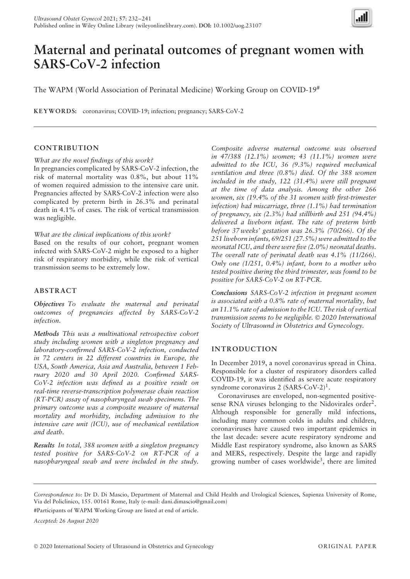

# **Maternal and perinatal outcomes of pregnant women with SARS-CoV-2 infection**

The WAPM (World Association of Perinatal Medicine) Working Group on COVID-19#

**KEYWORD S:** coronavirus; COVID-19; infection; pregnancy; SARS-CoV-2

# **CONTRIBUTION**

*What are the novel findings of this work?*

In pregnancies complicated by SARS-CoV-2 infection, the risk of maternal mortality was 0.8%, but about 11% of women required admission to the intensive care unit. Pregnancies affected by SARS-CoV-2 infection were also complicated by preterm birth in 26.3% and perinatal death in 4.1% of cases. The risk of vertical transmission was negligible.

*What are the clinical implications of this work?*

Based on the results of our cohort, pregnant women infected with SARS-CoV-2 might be exposed to a higher risk of respiratory morbidity, while the risk of vertical transmission seems to be extremely low.

## **ABSTRACT**

*Objectives To evaluate the maternal and perinatal outcomes of pregnancies affected by SARS-CoV-2 infection.*

*Methods This was a multinational retrospective cohort study including women with a singleton pregnancy and laboratory-confirmed SARS-CoV-2 infection, conducted in 72 centers in 22 different countries in Europe, the USA, South America, Asia and Australia, between 1 February 2020 and 30 April 2020. Confirmed SARS-CoV-2 infection was defined as a positive result on real-time reverse-transcription polymerase chain reaction (RT-PCR) assay of nasopharyngeal swab specimens. The primary outcome was a composite measure of maternal mortality and morbidity, including admission to the intensive care unit (ICU), use of mechanical ventilation and death.*

*Results In total, 388 women with a singleton pregnancy tested positive for SARS-CoV-2 on RT-PCR of a nasopharyngeal swab and were included in the study.*

*Composite adverse maternal outcome was observed in 47/388 (12.1%) women; 43 (11.1%) women were admitted to the ICU, 36 (9.3%) required mechanical ventilation and three (0.8%) died. Of the 388 women included in the study, 122 (31.4%) were still pregnant at the time of data analysis. Among the other 266 women, six (19.4% of the 31 women with first-trimester infection) had miscarriage, three (1.1%) had termination of pregnancy, six (2.3%) had stillbirth and 251 (94.4%) delivered a liveborn infant. The rate of preterm birth before 37 weeks' gestation was 26.3% (70/266). Of the 251 liveborn infants, 69/251 (27.5%) were admitted to the neonatal ICU, and there were five (2.0%) neonatal deaths. The overall rate of perinatal death was 4.1% (11/266). Only one (1/251, 0.4%) infant, born to a mother who tested positive during the third trimester, was found to be positive for SARS-CoV-2 on RT-PCR.*

*Conclusions SARS-CoV-2 infection in pregnant women is associated with a 0.8% rate of maternal mortality, but an 11.1% rate of admission to the ICU. The risk of vertical transmission seems to be negligible.* © *2020 International Society of Ultrasound in Obstetrics and Gynecology.*

# **INTRODUCTION**

In December 2019, a novel coronavirus spread in China. Responsible for a cluster of respiratory disorders called COVID-19, it was identified as severe acute respiratory syndrome coronavirus 2 (SARS-CoV-2)<sup>1</sup>.

Coronaviruses are enveloped, non-segmented positivesense RNA viruses belonging to the Nidovirales order<sup>2</sup>. Although responsible for generally mild infections, including many common colds in adults and children, coronaviruses have caused two important epidemics in the last decade: severe acute respiratory syndrome and Middle East respiratory syndrome, also known as SARS and MERS, respectively. Despite the large and rapidly growing number of cases worldwide<sup>3</sup>, there are limited

*Correspondence to:* Dr D. Di Mascio, Department of Maternal and Child Health and Urological Sciences, Sapienza University of Rome, Via del Policlinico, 155. 00161 Rome, Italy (e-mail: dani.dimascio@gmail.com)

#Participants of WAPM Working Group are listed at end of article.

*Accepted: 26 August 2020*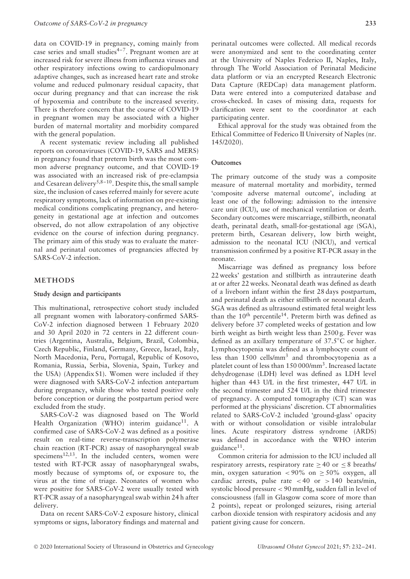data on COVID-19 in pregnancy, coming mainly from case series and small studies $4-7$ . Pregnant women are at increased risk for severe illness from influenza viruses and other respiratory infections owing to cardiopulmonary adaptive changes, such as increased heart rate and stroke volume and reduced pulmonary residual capacity, that occur during pregnancy and that can increase the risk of hypoxemia and contribute to the increased severity. There is therefore concern that the course of COVID-19 in pregnant women may be associated with a higher burden of maternal mortality and morbidity compared with the general population.

A recent systematic review including all published reports on coronaviruses (COVID-19, SARS and MERS) in pregnancy found that preterm birth was the most common adverse pregnancy outcome, and that COVID-19 was associated with an increased risk of pre-eclampsia and Cesarean delivery<sup>5,8-10</sup>. Despite this, the small sample size, the inclusion of cases referred mainly for severe acute respiratory symptoms, lack of information on pre-existing medical conditions complicating pregnancy, and heterogeneity in gestational age at infection and outcomes observed, do not allow extrapolation of any objective evidence on the course of infection during pregnancy. The primary aim of this study was to evaluate the maternal and perinatal outcomes of pregnancies affected by SARS-CoV-2 infection.

## **METHODS**

#### **Study design and participants**

This multinational, retrospective cohort study included all pregnant women with laboratory-confirmed SARS-CoV-2 infection diagnosed between 1 February 2020 and 30 April 2020 in 72 centers in 22 different countries (Argentina, Australia, Belgium, Brazil, Colombia, Czech Republic, Finland, Germany, Greece, Israel, Italy, North Macedonia, Peru, Portugal, Republic of Kosovo, Romania, Russia, Serbia, Slovenia, Spain, Turkey and the USA) (Appendix S1). Women were included if they were diagnosed with SARS-CoV-2 infection antepartum during pregnancy, while those who tested positive only before conception or during the postpartum period were excluded from the study.

SARS-CoV-2 was diagnosed based on The World Health Organization (WHO) interim guidance<sup>11</sup>. A confirmed case of SARS-CoV-2 was defined as a positive result on real-time reverse-transcription polymerase chain reaction (RT-PCR) assay of nasopharyngeal swab specimens $12,13$ . In the included centers, women were tested with RT-PCR assay of nasopharyngeal swabs, mostly because of symptoms of, or exposure to, the virus at the time of triage. Neonates of women who were positive for SARS-CoV-2 were usually tested with RT-PCR assay of a nasopharyngeal swab within 24 h after delivery.

Data on recent SARS-CoV-2 exposure history, clinical symptoms or signs, laboratory findings and maternal and

perinatal outcomes were collected. All medical records were anonymized and sent to the coordinating center at the University of Naples Federico II, Naples, Italy, through The World Association of Perinatal Medicine data platform or via an encrypted Research Electronic Data Capture (REDCap) data management platform. Data were entered into a computerized database and cross-checked. In cases of missing data, requests for clarification were sent to the coordinator at each participating center.

Ethical approval for the study was obtained from the Ethical Committee of Federico II University of Naples (nr. 145/2020).

## **Outcomes**

The primary outcome of the study was a composite measure of maternal mortality and morbidity, termed 'composite adverse maternal outcome', including at least one of the following: admission to the intensive care unit (ICU), use of mechanical ventilation or death. Secondary outcomes were miscarriage, stillbirth, neonatal death, perinatal death, small-for-gestational age (SGA), preterm birth, Cesarean delivery, low birth weight, admission to the neonatal ICU (NICU), and vertical transmission confirmed by a positive RT-PCR assay in the neonate.

Miscarriage was defined as pregnancy loss before 22 weeks' gestation and stillbirth as intrauterine death at or after 22 weeks. Neonatal death was defined as death of a liveborn infant within the first 28 days postpartum, and perinatal death as either stillbirth or neonatal death. SGA was defined as ultrasound estimated fetal weight less than the  $10^{th}$  percentile<sup>14</sup>. Preterm birth was defined as delivery before 37 completed weeks of gestation and low birth weight as birth weight less than 2500 g. Fever was defined as an axillary temperature of 37.5℃ or higher. Lymphocytopenia was defined as a lymphocyte count of less than 1500 cells/mm3 and thrombocytopenia as a platelet count of less than 150 000/mm3. Increased lactate dehydrogenase (LDH) level was defined as LDH level higher than 443 U/L in the first trimester, 447 U/L in the second trimester and 524 U/L in the third trimester of pregnancy. A computed tomography (CT) scan was performed at the physicians' discretion. CT abnormalities related to SARS-CoV-2 included 'ground-glass' opacity with or without consolidation or visible intralobular lines. Acute respiratory distress syndrome (ARDS) was defined in accordance with the WHO interim guidance $11$ .

Common criteria for admission to the ICU included all respiratory arrests, respiratory rate  $\geq 40$  or  $\leq 8$  breaths/ min, oxygen saturation  $\langle 90\% \rangle$  on  $> 50\%$  oxygen, all cardiac arrests, pulse rate  $< 40$  or  $> 140$  beats/min, systolic blood pressure *<* 90 mmHg, sudden fall in level of consciousness (fall in Glasgow coma score of more than 2 points), repeat or prolonged seizures, rising arterial carbon dioxide tension with respiratory acidosis and any patient giving cause for concern.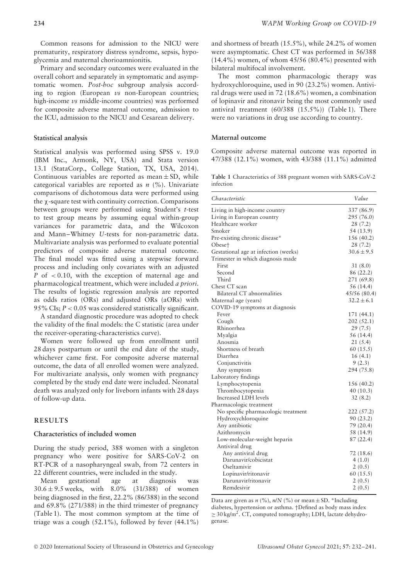Common reasons for admission to the NICU were prematurity, respiratory distress syndrome, sepsis, hypoglycemia and maternal chorioamnionitis.

Primary and secondary outcomes were evaluated in the overall cohort and separately in symptomatic and asymptomatic women. *Post-hoc* subgroup analysis according to region (European *vs* non-European countries; high-income *vs* middle-income countries) was performed for composite adverse maternal outcome, admission to the ICU, admission to the NICU and Cesarean delivery.

#### **Statistical analysis**

Statistical analysis was performed using SPSS v. 19.0 (IBM Inc., Armonk, NY, USA) and Stata version 13.1 (StataCorp., College Station, TX, USA, 2014). Continuous variables are reported as mean  $\pm$  SD, while categorical variables are reported as *n* (%). Univariate comparisons of dichotomous data were performed using the χ-square test with continuity correction. Comparisons between groups were performed using Student's *t*-test to test group means by assuming equal within-group variances for parametric data, and the Wilcoxon and Mann–Whitney *U*-tests for non-parametric data. Multivariate analysis was performed to evaluate potential predictors of composite adverse maternal outcome. The final model was fitted using a stepwise forward process and including only covariates with an adjusted *P* of *<* 0.10, with the exception of maternal age and pharmacological treatment, which were included *a priori*. The results of logistic regression analysis are reported as odds ratios (ORs) and adjusted ORs (aORs) with 95% CIs; *P <* 0.05 was considered statistically significant.

A standard diagnostic procedure was adopted to check the validity of the final models: the C statistic (area under the receiver-operating-characteristics curve).

Women were followed up from enrollment until 28 days postpartum or until the end date of the study, whichever came first. For composite adverse maternal outcome, the data of all enrolled women were analyzed. For multivariate analysis, only women with pregnancy completed by the study end date were included. Neonatal death was analyzed only for liveborn infants with 28 days of follow-up data.

#### **RESULTS**

## **Characteristics of included women**

During the study period, 388 women with a singleton pregnancy who were positive for SARS-CoV-2 on RT-PCR of a nasopharyngeal swab, from 72 centers in 22 different countries, were included in the study.

Mean gestational age at diagnosis was 30.6 ± 9.5 weeks, with 8.0% (31/388) of women being diagnosed in the first, 22.2% (86/388) in the second and 69.8% (271/388) in the third trimester of pregnancy (Table 1). The most common symptom at the time of triage was a cough  $(52.1\%)$ , followed by fever  $(44.1\%)$ 

and shortness of breath (15.5%), while 24.2% of women were asymptomatic. Chest CT was performed in 56/388 (14.4%) women, of whom 45/56 (80.4%) presented with bilateral multifocal involvement.

The most common pharmacologic therapy was hydroxychloroquine, used in 90 (23.2%) women. Antiviral drugs were used in 72 (18.6%) women, a combination of lopinavir and ritonavir being the most commonly used antiviral treatment (60/388 (15.5%)) (Table 1). There were no variations in drug use according to country.

#### **Maternal outcome**

Composite adverse maternal outcome was reported in 47/388 (12.1%) women, with 43/388 (11.1%) admitted

**Table 1** Characteristics of 388 pregnant women with SARS-CoV-2 infection

| Characteristic                       | Value          |
|--------------------------------------|----------------|
| Living in high-income country        | 337 (86.9)     |
| Living in European country           | 295 (76.0)     |
| Healthcare worker                    | 28(7.2)        |
| Smoker                               | 54 (13.9)      |
| Pre-existing chronic disease*        | 156 (40.2)     |
| Obese†                               | 28 (7.2)       |
| Gestational age at infection (weeks) | $30.6 \pm 9.5$ |
| Trimester in which diagnosis made    |                |
| First                                | 31(8.0)        |
| Second                               | 86 (22.2)      |
| Third                                | 271 (69.8)     |
| Chest CT scan                        | 56 (14.4)      |
| Bilateral CT abnormalities           | 45/56 (80.4)   |
| Maternal age (years)                 | $32.2 \pm 6.1$ |
| COVID-19 symptoms at diagnosis       |                |
| Fever                                | 171 (44.1)     |
| Cough                                | 202(52.1)      |
| Rhinorrhea                           | 29(7.5)        |
| Myalgia                              | 56 (14.4)      |
| Anosmia                              | 21(5.4)        |
| Shortness of breath                  | 60(15.5)       |
| Diarrhea                             | 16(4.1)        |
| Conjunctivitis                       | 9(2.3)         |
| Any symptom                          | 294 (75.8)     |
| Laboratory findings                  |                |
| Lymphocytopenia                      | 156 (40.2)     |
| Thrombocytopenia                     | 40(10.3)       |
| Increased LDH levels                 | 32 (8.2)       |
| Pharmacologic treatment              |                |
| No specific pharmacologic treatment  | 222(57.2)      |
| Hydroxychloroquine                   | 90 (23.2)      |
| Any antibiotic                       | 79 (20.4)      |
| Azithromycin                         | 58 (14.9)      |
| Low-molecular-weight heparin         | 87 (22.4)      |
| Antiviral drug                       |                |
| Any antiviral drug                   | 72 (18.6)      |
| Darunavir/cobicistat                 | 4(1.0)         |
| Oseltamivir                          | 2(0.5)         |
| Lopinavir/ritonavir                  | 60 $(15.5)$    |
| Darunavir/ritonavir                  | 2(0.5)         |
| Remdesivir                           | 2(0.5)         |

Data are given as  $n$  (%),  $n/N$  (%) or mean  $\pm$  SD. \*Including diabetes, hypertension or asthma. †Defined as body mass index  $\geq$  30 kg/m<sup>2</sup>. CT, computed tomography; LDH, lactate dehydrogenase.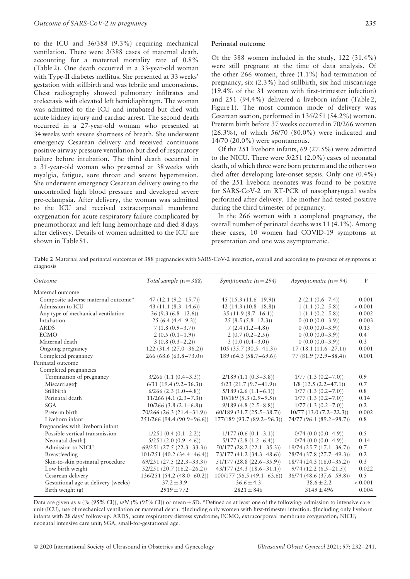to the ICU and 36/388 (9.3%) requiring mechanical ventilation. There were 3/388 cases of maternal death, accounting for a maternal mortality rate of 0.8% (Table 2). One death occurred in a 33-year-old woman with Type-II diabetes mellitus. She presented at 33 weeks' gestation with stillbirth and was febrile and unconscious. Chest radiography showed pulmonary infiltrates and atelectasis with elevated left hemidiaphragm. The woman was admitted to the ICU and intubated but died with acute kidney injury and cardiac arrest. The second death occurred in a 27-year-old woman who presented at 34 weeks with severe shortness of breath. She underwent emergency Cesarean delivery and received continuous positive airway pressure ventilation but died of respiratory failure before intubation. The third death occurred in a 31-year-old woman who presented at 38 weeks with myalgia, fatigue, sore throat and severe hypertension. She underwent emergency Cesarean delivery owing to the uncontrolled high blood pressure and developed severe pre-eclampsia. After delivery, the woman was admitted to the ICU and received extracorporeal membrane oxygenation for acute respiratory failure complicated by pneumothorax and left lung hemorrhage and died 8 days after delivery. Details of women admitted to the ICU are shown in Table S1.

#### **Perinatal outcome**

Of the 388 women included in the study, 122 (31.4%) were still pregnant at the time of data analysis. Of the other 266 women, three (1.1%) had termination of pregnancy, six (2.3%) had stillbirth, six had miscarriage (19.4% of the 31 women with first-trimester infection) and 251 (94.4%) delivered a liveborn infant (Table 2, Figure 1). The most common mode of delivery was Cesarean section, performed in 136/251 (54.2%) women. Preterm birth before 37 weeks occurred in 70/266 women (26.3%), of which 56/70 (80.0%) were indicated and 14/70 (20.0%) were spontaneous.

Of the 251 liveborn infants, 69 (27.5%) were admitted to the NICU. There were 5/251 (2.0%) cases of neonatal death, of which three were born preterm and the other two died after developing late-onset sepsis. Only one (0.4%) of the 251 liveborn neonates was found to be positive for SARS-CoV-2 on RT-PCR of nasopharyngeal swabs performed after delivery. The mother had tested positive during the third trimester of pregnancy.

In the 266 women with a completed pregnancy, the overall number of perinatal deaths was 11 (4.1%). Among these cases, 10 women had COVID-19 symptoms at presentation and one was asymptomatic.

**Table 2** Maternal and perinatal outcomes of 388 pregnancies with SARS-CoV-2 infection, overall and according to presence of symptoms at diagnosis

| Outcome                             | Total sample $(n = 388)$<br>Symptomatic $(n = 294)$ |                               | Asymptomatic $(n = 94)$    | $\mathbf{P}$ |
|-------------------------------------|-----------------------------------------------------|-------------------------------|----------------------------|--------------|
| Maternal outcome                    |                                                     |                               |                            |              |
| Composite adverse maternal outcome* | $47(12.1(9.2 - 15.7))$                              | $45(15.3(11.6-19.9))$         | $2(2.1(0.6 - 7.4))$        | 0.001        |
| Admission to ICU                    | 43 $(11.1 (8.3 - 14.6))$                            | $42(14.3(10.8-18.8))$         | $1(1.1(0.2-5.8))$          | < 0.001      |
| Any type of mechanical ventilation  | $36(9.3(6.8-12.6))$                                 | $35(11.9(8.7-16.1))$          | $1(1.1(0.2-5.8))$          | 0.002        |
| Intubation                          | $25(6.4(4.4-9.3))$                                  | $25(8.5(5.8-12.3))$           | $0(0.0(0.0-3.9))$          | 0.003        |
| <b>ARDS</b>                         | $7(1.8(0.9-3.7))$                                   | $7(2.4(1.2-4.8))$             | $0(0.0(0.0-3.9))$          | 0.13         |
| <b>ECMO</b>                         | $2(0.5(0.1-1.9))$                                   | $2(0.7(0.2-2.5))$             | $0(0.0(0.0-3.9))$          | 0.4          |
| Maternal death                      | $3(0.8(0.3-2.2))$                                   | $3(1.0(0.4-3.0))$             | $0(0.0(0.0-3.9))$          | 0.3          |
| Ongoing pregnancy                   | $122(31.4(27.0-36.2))$                              | $105(35.7(30.5-41.3))$        | $17(18.1(11.6-27.1))$      | 0.001        |
| Completed pregnancy                 | $266(68.6(63.8-73.0))$                              | $189(64.3(58.7-69.6))$        | $77(81.9(72.9 - 88.4))$    | 0.001        |
| Perinatal outcome                   |                                                     |                               |                            |              |
| Completed pregnancies               |                                                     |                               |                            |              |
| Termination of pregnancy            | $3/266$ (1.1 (0.4–3.3))                             | $2/189$ (1.1 (0.3-3.8))       | $1/77$ $(1.3 (0.2 - 7.0))$ | 0.9          |
| Miscarriage <sup>+</sup>            | $6/31$ (19.4 (9.2 – 36.3))                          | $5/23$ $(21.7 (9.7 - 41.9))$  | $1/8$ (12.5 (2.2-47.1))    | 0.7          |
| Stillbirth                          | $6/266$ $(2.3$ $(1.0-4.8))$                         | $5/189$ (2.6 (1.1-6.1))       | $1/77$ $(1.3 (0.2 - 7.0))$ | 0.8          |
| Perinatal death                     | $11/266$ (4.1 (2.3–7.3))                            | $10/189$ (5.3 (2.9–9.5))      | $1/77$ $(1.3 (0.2 - 7.0))$ | 0.14         |
| SGA                                 | $10/266$ (3.8 (2.1–6.8))                            | $9/189$ (4.8 (2.5 - 8.8))     | $1/77$ $(1.3 (0.2 - 7.0))$ | 0.2          |
| Preterm birth                       | $70/266$ (26.3 (21.4-31.9))                         | $60/189$ (31.7 (25.5 – 38.7)) | $10/77(13.0(7.2-22.3))$    | 0.002        |
| Liveborn infant                     | 251/266 (94.4 (90.9-96.6))                          | 177/189 (93.7 (89.2–96.3))    | 74/77 (96.1 (89.2–98.7))   | 0.8          |
| Pregnancies with liveborn infant    |                                                     |                               |                            |              |
| Possible vertical transmission      | $1/251(0.4(0.1-2.2))$                               | $1/177(0.6(0.1-3.1))$         | $0/74$ (0.0 (0.0-4.9))     | 0.5          |
| Neonatal death‡                     | $5/251$ (2.0 (0.9–4.6))                             | $5/177$ $(2.8$ $(1.2-6.4))$   | $0/74$ (0.0 (0.0-4.9))     | 0.14         |
| Admission to NICU                   | $69/251$ (27.5 (22.3 – 33.3))                       | $50/177$ (28.2 (22.1-35.3))   | $19/74$ (25.7 (17.1-36.7)) | 0.7          |
| Breastfeeding                       | $101/251$ (40.2 (34.4–46.4))                        | 73/177 (41.2 (34.3–48.6))     | 28/74 (37.8 (27.7-49.3))   | 0.2          |
| Skin-to-skin postnatal procedure    | $69/251$ (27.5 (22.3 – 33.3))                       | $51/177$ (28.8 (22.6-35.9))   | $18/74$ (24.3 (16.0-35.2)) | 0.3          |
| Low birth weight                    | $52/251$ (20.7 (16.2-26.2))                         | $43/177$ (24.3 (18.6-31.1))   | $9/74$ (12.2 (6.5 – 21.5)) | 0.022        |
| Cesarean delivery                   | 136/251 (54.2 (48.0–60.2))                          | $100/177$ (56.5 (49.1–63.6))  | $36/74$ (48.6 (37.6–59.8)) | 0.5          |
| Gestational age at delivery (weeks) | $37.2 \pm 3.9$                                      | $36.6 \pm 4.3$                | $38.6 \pm 2.2$             | < 0.001      |
| Birth weight (g)                    | $2919 \pm 772$                                      | $2821 \pm 846$                | $3149 \pm 496$             | 0.004        |

Data are given as *n* (% (95% CI)), *n*/*N* (% (95% CI)) or mean  $\pm$  SD. \*Defined as at least one of the following: admission to intensive care unit (ICU), use of mechanical ventilation or maternal death. †Including only women with first-trimester infection. ‡Including only liveborn infants with 28 days' follow-up. ARDS, acute respiratory distress syndrome; ECMO, extracorporeal membrane oxygenation; NICU; neonatal intensive care unit; SGA, small-for-gestational age.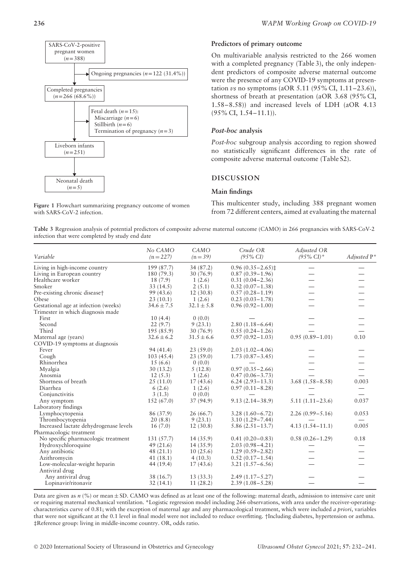

**Figure 1** Flowchart summarizing pregnancy outcome of women

with SARS-CoV-2 infection.

## **Predictors of primary outcome**

On multivariable analysis restricted to the 266 women with a completed pregnancy (Table 3), the only independent predictors of composite adverse maternal outcome were the presence of any COVID-19 symptoms at presentation *vs* no symptoms (aOR 5.11 (95% CI, 1.11–23.6)), shortness of breath at presentation (aOR 3.68 (95% CI, 1.58–8.58)) and increased levels of LDH (aOR 4.13 (95% CI, 1.54–11.1)).

#### *Post-hoc* **analysis**

*Post-hoc* subgroup analysis according to region showed no statistically significant differences in the rate of composite adverse maternal outcome (Table S2).

## **DISCUSSION**

#### **Main findings**

This multicenter study, including 388 pregnant women from 72 different centers, aimed at evaluating the maternal

**Table 3** Regression analysis of potential predictors of composite adverse maternal outcome (CAMO) in 266 pregnancies with SARS-CoV-2 infection that were completed by study end date

| Variable                               | No CAMO<br>$(n = 227)$ | CAMO<br>$(n=39)$ | Crude OR<br>$(95\% \text{ CI})$ | Adjusted OR<br>$(95\% \text{ CI})$ * | Adjusted $P^*$ |
|----------------------------------------|------------------------|------------------|---------------------------------|--------------------------------------|----------------|
| Living in high-income country          | 199 (87.7)             | 34 (87.2)        | $0.96(0.35 - 2.65)$ ±           |                                      |                |
| Living in European country             | 180 (79.3)             | 30 (76.9)        | $0.87(0.39 - 1.96)$             |                                      |                |
| Healthcare worker                      | 18 (7.9)               | 1(2.6)           | $0.31(0.04 - 2.36)$             |                                      |                |
| Smoker                                 | 33(14.5)               | 2(5.1)           | $0.32(0.07 - 1.38)$             |                                      |                |
| Pre-existing chronic disease†          | 99 (43.6)              | 12(30.8)         | $0.57(0.28 - 1.19)$             |                                      |                |
| Obese                                  | 23(10.1)               | 1(2.6)           | $0.23(0.03-1.78)$               |                                      |                |
| Gestational age at infection (weeks)   | $34.6 \pm 7.5$         | $32.1 \pm 5.8$   | $0.96(0.92 - 1.00)$             |                                      |                |
| Trimester in which diagnosis made      |                        |                  |                                 |                                      |                |
| First                                  | 10(4.4)                | 0(0.0)           |                                 |                                      |                |
| Second                                 | 22(9.7)                | 9(23.1)          | $2.80(1.18 - 6.64)$             |                                      |                |
| Third                                  | 195(85.9)              | 30(76.9)         | $0.55(0.24 - 1.26)$             |                                      |                |
| Maternal age (years)                   | $32.6 \pm 6.2$         | $31.5 \pm 6.6$   | $0.97(0.92 - 1.03)$             | $0.95(0.89 - 1.01)$                  | 0.10           |
| COVID-19 symptoms at diagnosis         |                        |                  |                                 |                                      |                |
| Fever                                  | 94 (41.4)              | 23(59.0)         | $2.03(1.02 - 4.06)$             |                                      |                |
| Cough                                  | 103(45.4)              | 23(59.0)         | $1.73(0.87 - 3.45)$             |                                      |                |
| Rhinorrhea                             | 15(6.6)                | 0(0.0)           |                                 |                                      |                |
| Myalgia                                | 30(13.2)               | 5(12.8)          | $0.97(0.35 - 2.66)$             |                                      |                |
| Anosmia                                | 12(5.3)                | 1(2.6)           | $0.47(0.06 - 3.73)$             |                                      |                |
| Shortness of breath                    | 25(11.0)               | 17(43.6)         | $6.24(2.93-13.3)$               | $3.68(1.58 - 8.58)$                  | 0.003          |
| Diarrhea                               | 6(2.6)                 | 1(2.6)           | $0.97(0.11 - 8.28)$             |                                      |                |
| Conjunctivitis                         | 3(1.3)                 | 0(0.0)           |                                 |                                      |                |
| Any symptom                            | 152(67.0)              | 37(94.9)         | $9.13(2.14 - 38.9)$             | $5.11(1.11 - 23.6)$                  | 0.037          |
| Laboratory findings                    |                        |                  |                                 |                                      |                |
| Lymphocytopenia                        | 86 (37.9)              | 26 (66.7)        | $3.28(1.60 - 6.72)$             | $2.26(0.99 - 5.16)$                  | 0.053          |
| Thrombocytopenia                       | 20(8.8)                | 9(23.1)          | $3.10(1.29 - 7.44)$             |                                      |                |
| Increased lactate dehydrogenase levels | 16(7.0)                | 12(30.8)         | $5.86(2.51 - 13.7)$             | $4.13(1.54 - 11.1)$                  | 0.005          |
| Pharmacologic treatment                |                        |                  |                                 |                                      |                |
| No specific pharmacologic treatment    | 131 (57.7)             | 14 (35.9)        | $0.41(0.20 - 0.83)$             | $0.58(0.26 - 1.29)$                  | 0.18           |
| Hydroxychloroquine                     | 49(21.6)               | 14(35.9)         | $2.03(0.98 - 4.21)$             |                                      |                |
| Any antibiotic                         | 48(21.1)               | 10(25.6)         | $1.29(0.59 - 2.82)$             |                                      |                |
| Azithromycin                           | 41(18.1)               | 4(10.3)          | $0.52(0.17 - 1.54)$             |                                      |                |
| Low-molecular-weight heparin           | 44 (19.4)              | 17(43.6)         | $3.21(1.57 - 6.56)$             |                                      |                |
| Antiviral drug                         |                        |                  |                                 |                                      |                |
| Any antiviral drug                     | 38 (16.7)              | 13(33.3)         | $2.49(1.17 - 5.27)$             |                                      |                |
| Lopinavir/ritonavir                    | 32(14.1)               | 11(28.2)         | $2.39(1.08 - 5.28)$             |                                      |                |

Data are given as *n* (%) or mean  $\pm$  SD. CAMO was defined as at least one of the following: maternal death, admission to intensive care unit or requiring maternal mechanical ventilation. **\***Logistic regression model including 266 observations, with area under the receiver-operatingcharacteristics curve of 0.81; with the exception of maternal age and any pharmacological treatment, which were included *a priori*, variables that were not significant at the 0.1 level in final model were not included to reduce overfitting. †Including diabetes, hypertension or asthma. ‡Reference group: living in middle-income country. OR, odds ratio.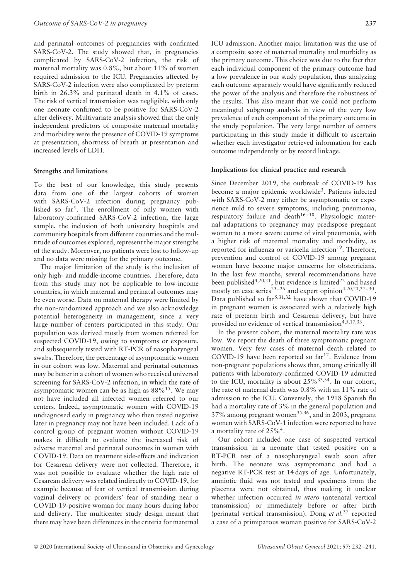and perinatal outcomes of pregnancies with confirmed SARS-CoV-2. The study showed that, in pregnancies complicated by SARS-CoV-2 infection, the risk of maternal mortality was 0.8%, but about 11% of women required admission to the ICU. Pregnancies affected by SARS-CoV-2 infection were also complicated by preterm birth in 26.3% and perinatal death in 4.1% of cases. The risk of vertical transmission was negligible, with only one neonate confirmed to be positive for SARS-CoV-2 after delivery. Multivariate analysis showed that the only independent predictors of composite maternal mortality and morbidity were the presence of COVID-19 symptoms at presentation, shortness of breath at presentation and increased levels of LDH.

## **Strengths and limitations**

To the best of our knowledge, this study presents data from one of the largest cohorts of women with SARS-CoV-2 infection during pregnancy published so  $far^5$ . The enrollment of only women with laboratory-confirmed SARS-CoV-2 infection, the large sample, the inclusion of both university hospitals and community hospitals from different countries and the multitude of outcomes explored, represent the major strengths of the study. Moreover, no patients were lost to follow-up and no data were missing for the primary outcome.

The major limitation of the study is the inclusion of only high- and middle-income countries. Therefore, data from this study may not be applicable to low-income countries, in which maternal and perinatal outcomes may be even worse. Data on maternal therapy were limited by the non-randomized approach and we also acknowledge potential heterogeneity in management, since a very large number of centers participated in this study. Our population was derived mostly from women referred for suspected COVID-19, owing to symptoms or exposure, and subsequently tested with RT-PCR of nasopharyngeal swabs. Therefore, the percentage of asymptomatic women in our cohort was low. Maternal and perinatal outcomes may be better in a cohort of women who received universal screening for SARS-CoV-2 infection, in which the rate of asymptomatic women can be as high as 88%15. We may not have included all infected women referred to our centers. Indeed, asymptomatic women with COVID-19 undiagnosed early in pregnancy who then tested negative later in pregnancy may not have been included. Lack of a control group of pregnant women without COVID-19 makes it difficult to evaluate the increased risk of adverse maternal and perinatal outcomes in women with COVID-19. Data on treatment side-effects and indication for Cesarean delivery were not collected. Therefore, it was not possible to evaluate whether the high rate of Cesarean delivery was related indirectly to COVID-19, for example because of fear of vertical transmission during vaginal delivery or providers' fear of standing near a COVID-19-positive woman for many hours during labor and delivery. The multicenter study design meant that there may have been differences in the criteria for maternal

ICU admission. Another major limitation was the use of a composite score of maternal mortality and morbidity as the primary outcome. This choice was due to the fact that each individual component of the primary outcome had a low prevalence in our study population, thus analyzing each outcome separately would have significantly reduced the power of the analysis and therefore the robustness of the results. This also meant that we could not perform meaningful subgroup analysis in view of the very low prevalence of each component of the primary outcome in the study population. The very large number of centers participating in this study made it difficult to ascertain whether each investigator retrieved information for each outcome independently or by record linkage.

#### **Implications for clinical practice and research**

Since December 2019, the outbreak of COVID-19 has become a major epidemic worldwide<sup>3</sup>. Patients infected with SARS-CoV-2 may either be asymptomatic or experience mild to severe symptoms, including pneumonia, respiratory failure and death $16-18$ . Physiologic maternal adaptations to pregnancy may predispose pregnant women to a more severe course of viral pneumonia, with a higher risk of maternal mortality and morbidity, as reported for influenza or varicella infection<sup>19</sup>. Therefore, prevention and control of COVID-19 among pregnant women have become major concerns for obstetricians. In the last few months, several recommendations have been published<sup>4,20,21</sup>, but evidence is limited<sup>22</sup> and based mostly on case series<sup>23–26</sup> and expert opinion<sup>4,20,21,27–30</sup>. Data published so  $far^{5,31,32}$  have shown that COVID-19 in pregnant women is associated with a relatively high rate of preterm birth and Cesarean delivery, but have provided no evidence of vertical transmission $4,5,17,33$ .

In the present cohort, the maternal mortality rate was low. We report the death of three symptomatic pregnant women. Very few cases of maternal death related to COVID-19 have been reported so  $far^{17}$ . Evidence from non-pregnant populations shows that, among critically ill patients with laboratory-confirmed COVID-19 admitted to the ICU, mortality is about  $25\%^{33,34}$ . In our cohort, the rate of maternal death was 0.8% with an 11% rate of admission to the ICU. Conversely, the 1918 Spanish flu had a mortality rate of 3% in the general population and 37% among pregnant women<sup>35,36</sup>, and in 2003, pregnant women with SARS-CoV-1 infection were reported to have a mortality rate of  $25\%$ <sup>4</sup>.

Our cohort included one case of suspected vertical transmission in a neonate that tested positive on a RT-PCR test of a nasopharyngeal swab soon after birth. The neonate was asymptomatic and had a negative RT-PCR test at 14 days of age. Unfortunately, amniotic fluid was not tested and specimens from the placenta were not obtained, thus making it unclear whether infection occurred *in utero* (antenatal vertical transmission) or immediately before or after birth (perinatal vertical transmission). Dong *et al.*<sup>37</sup> reported a case of a primiparous woman positive for SARS-CoV-2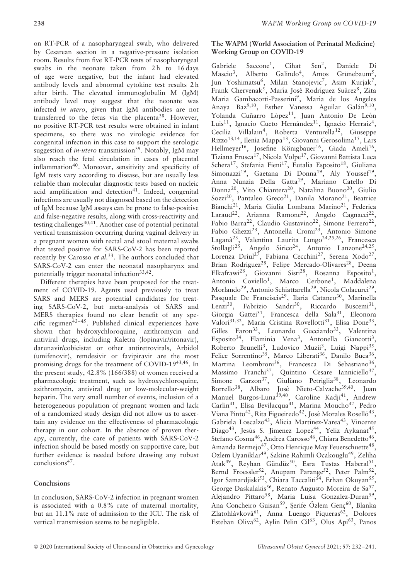on RT-PCR of a nasopharyngeal swab, who delivered by Cesarean section in a negative-pressure isolation room. Results from five RT-PCR tests of nasopharyngeal swabs in the neonate taken from 2h to 16 days of age were negative, but the infant had elevated antibody levels and abnormal cytokine test results 2 h after birth. The elevated immunoglobulin M (IgM) antibody level may suggest that the neonate was infected *in utero*, given that IgM antibodies are not transferred to the fetus via the placenta<sup>38</sup>. However, no positive RT-PCR test results were obtained in infant specimens, so there was no virologic evidence for congenital infection in this case to support the serologic suggestion of *in-utero* transmission<sup>39</sup>. Notably, IgM may also reach the fetal circulation in cases of placental inflammation<sup>40</sup>. Moreover, sensitivity and specificity of IgM tests vary according to disease, but are usually less reliable than molecular diagnostic tests based on nucleic acid amplification and detection $41$ . Indeed, congenital infections are usually not diagnosed based on the detection of IgM because IgM assays can be prone to false-positive and false-negative results, along with cross-reactivity and testing challenges<sup>40,41</sup>. Another case of potential perinatal vertical transmission occurring during vaginal delivery in a pregnant women with rectal and stool maternal swabs that tested positive for SARS-CoV-2 has been reported recently by Carosso *et al.*33. The authors concluded that SARS-CoV-2 can enter the neonatal nasopharynx and potentially trigger neonatal infection<sup>33,42</sup>.

Different therapies have been proposed for the treatment of COVID-19. Agents used previously to treat SARS and MERS are potential candidates for treating SARS-CoV-2, but meta-analysis of SARS and MERS therapies found no clear benefit of any specific regimen $43-45$ . Published clinical experiences have shown that hydroxychloroquine, azithromycin and antiviral drugs, including Kaletra (lopinavir/ritonavir), darunavir/cobicistat or other antiretrovirals, Arbidol (umifenovir), remdesivir or favipiravir are the most promising drugs for the treatment of COVID-1943,46. In the present study, 42.8% (166/388) of women received a pharmacologic treatment, such as hydroxychloroquine, azithromycin, antiviral drug or low-molecular-weight heparin. The very small number of events, inclusion of a heterogeneous population of pregnant women and lack of a randomized study design did not allow us to ascertain any evidence on the effectiveness of pharmacologic therapy in our cohort. In the absence of proven therapy, currently, the care of patients with SARS-CoV-2 infection should be based mostly on supportive care, but further evidence is needed before drawing any robust conclusions<sup>47</sup>.

# **Conclusions**

In conclusion, SARS-CoV-2 infection in pregnant women is associated with a 0.8% rate of maternal mortality, but an 11.1% rate of admission to the ICU. The risk of vertical transmission seems to be negligible.

# **The WAPM (World Association of Perinatal Medicine) Working Group on COVID-19**

Gabriele Saccone<sup>1</sup>, Cihat Sen<sup>2</sup>, Daniele Di Mascio<sup>3</sup>, Alberto Galindo<sup>4</sup>, Amos Grünebaum<sup>5</sup>, Jun Yoshimatsu<sup>6</sup>, Milan Stanojevic<sup>7</sup>, Asim Kurjak<sup>7</sup>, Frank Chervenak<sup>5</sup>, María José Rodríguez Suárez<sup>8</sup>, Zita Maria Gambacorti-Passerini<sup>9</sup>, María de los Angeles Anaya Baz<sup>9,10</sup>, Esther Vanessa Aguilar Galán<sup>9,10</sup>, Yolanda Cuñarro López<sup>11</sup>, Juan Antonio De León Luis<sup>11</sup>, Ignacio Cueto Hernández<sup>11</sup>, Ignacio Herraiz<sup>4</sup>, Cecilia Villalain<sup>4</sup>, Roberta Venturella<sup>12</sup>, Giuseppe Rizzo<sup>13,14</sup>, Ilenia Mappa<sup>13</sup>, Giovanni Gerosolima<sup>15</sup>, Lars Hellmeyer<sup>16</sup>, Josefine Königbauer<sup>16</sup>, Giada Ameli<sup>16</sup>, Tiziana Frusca<sup>17</sup>, Nicola Volpe<sup>17</sup>, Giovanni Battista Luca Schera<sup>17</sup>, Stefania Fieni<sup>17</sup>, Eutalia Esposito<sup>18</sup>, Giuliana Simonazzi<sup>19</sup>, Gaetana Di Donna<sup>19</sup>, Aly Youssef<sup>19</sup>, Anna Nunzia Della Gatta19, Mariano Catello Di Donna<sup>20</sup>, Vito Chiantera<sup>20</sup>, Natalina Buono<sup>20</sup>, Giulio Sozzi<sup>20</sup>, Pantaleo Greco<sup>21</sup>, Danila Morano<sup>21</sup>, Beatrice Bianchi<sup>21</sup>, Maria Giulia Lombana Marino<sup>21</sup>, Federica Laraud<sup>22</sup>, Arianna Ramone<sup>22</sup>, Angelo Cagnacci<sup>22</sup>, Fabio Barra<sup>22</sup>, Claudio Gustavino<sup>22</sup>, Simone Ferrero<sup>22</sup>, Fabio Ghezzi<sup>23</sup>, Antonella Cromi<sup>23</sup>, Antonio Simone Laganà<sup>23</sup>, Valentina Laurita Longo<sup>24,25,26</sup>, Francesca Stollagli<sup>25</sup>, Angelo Sirico<sup>24</sup>, Antonio Lanzone<sup>24,25</sup>, Lorenza Driul<sup>27</sup>, Fabiana Cecchini<sup>27</sup>, Serena Xodo<sup>27</sup>, Brian Rodriguez<sup>28</sup>, Felipe Mercado-Olivares<sup>28</sup>, Deena Elkafrawi<sup>28</sup>, Giovanni Sisti<sup>28</sup>, Rosanna Esposito<sup>1</sup>, Antonio Coviello<sup>1</sup>, Marco Cerbone<sup>1</sup>, Maddalena Morlando<sup>29</sup>, Antonio Schiattarella<sup>29</sup>, Nicola Colacurci<sup>29</sup>, Pasquale De Franciscis<sup>29</sup>, Ilaria Cataneo<sup>30</sup>, Marinella Lenzi<sup>30</sup>, Fabrizio Sandri<sup>30</sup>, Riccardo Buscemi<sup>31</sup>, Giorgia Gattei<sup>31</sup>, Francesca della Sala<sup>31</sup>, Eleonora Valori<sup>31,32</sup>, Maria Cristina Rovellotti<sup>31</sup>, Elisa Done<sup>33</sup>, Gilles Faron<sup>33</sup>, Leonardo Gucciardo<sup>33</sup>, Valentina Esposito<sup>34</sup>, Flaminia Vena<sup>3</sup>, Antonella Giancotti<sup>3</sup>, Roberto Brunelli<sup>3</sup>, Ludovico Muzii<sup>3</sup>, Luigi Nappi<sup>35</sup>, Felice Sorrentino<sup>35</sup>, Marco Liberati<sup>36</sup>, Danilo Buca<sup>36</sup>, Martina Leombroni<sup>36</sup>, Francesca Di Sebastiano<sup>36</sup>, Massimo Franchi<sup>37</sup>, Quintino Cesare Ianniciello<sup>37</sup>, Simone Garzon<sup>37</sup>, Giuliano Petriglia<sup>38</sup>, Leonardo Borrello<sup>38</sup>, Albaro Josè Nieto-Calvache<sup>39,40</sup>, Juan Manuel Burgos-Luna<sup>39,40</sup>, Caroline Kadji<sup>41</sup>, Andrew Carlin<sup>41</sup>, Elisa Bevilacqua<sup>41</sup>, Marina Moucho<sup>42</sup>, Pedro Viana Pinto<sup>42</sup>, Rita Figueiredo<sup>42</sup>, José Morales Roselló<sup>43</sup>, Gabriela Loscalzo<sup>43</sup>, Alicia Martinez-Varea<sup>43</sup>, Vincente Diago<sup>43</sup>, Jesus S. Jimenez Lopez<sup>44</sup>, Yeliz Aykanat<sup>45</sup>, Stefano Cosma<sup>46</sup>, Andrea Carosso<sup>46</sup>, Chiara Benedetto<sup>46</sup>, Amanda Bermejo<sup>47</sup>, Otto Henrique May Feuerschuette<sup>48</sup>, Ozlem Uyaniklar<sup>49</sup>, Sakine Rahimli Ocakouglu<sup>49</sup>, Zeliha Atak<sup>49</sup>, Reyhan Gündüz<sup>50</sup>, Esra Tustas Haberal<sup>51</sup>, Bernd Froessler<sup>52</sup>, Anupam Parange<sup>52</sup>, Peter Palm<sup>52</sup>, Igor Samardjiski<sup>53</sup>, Chiara Taccaliti<sup>54</sup>, Erhan Okuyan<sup>55</sup>, George Daskalakis<sup>56</sup>, Renato Augusto Moreira de Sa<sup>57</sup> Alejandro Pittaro<sup>58</sup>, Maria Luisa Gonzalez-Duran<sup>59</sup>, Ana Concheiro Guisan<sup>59</sup>, Şerife Özlem Genç<sup>60</sup>, Blanka Zlatohlávková<sup>61</sup>, Anna Luengo Piqueras<sup>62</sup>, Dolores Esteban Oliva<sup>62</sup>, Aylin Pelin Cil<sup>63</sup>, Olus Api<sup>63</sup>, Panos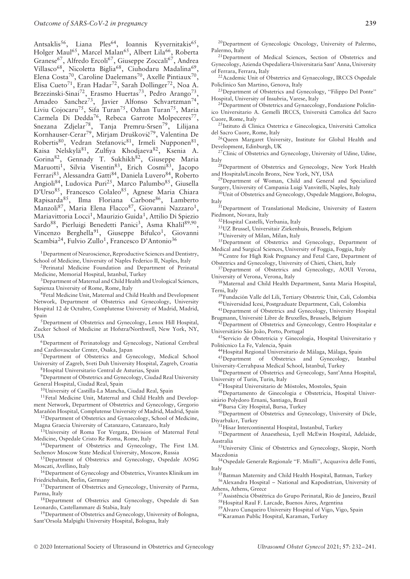Antsaklis<sup>56</sup>, Liana Ples<sup>64</sup>, Ioannis Kyvernitakis<sup>65</sup>, Holger Maul<sup>65</sup>, Marcel Malan<sup>65</sup>, Albert Lila<sup>66</sup>, Roberta Granese<sup>67</sup>, Alfredo Ercoli<sup>67</sup>, Giuseppe Zoccali<sup>67</sup>, Andrea Villasco<sup>68</sup>, Nicoletta Biglia<sup>68</sup>, Ciuhodaru Madalina<sup>69</sup>, Elena Costa<sup>70</sup>, Caroline Daelemans<sup>70</sup>, Axelle Pintiaux<sup>70</sup>, Elisa Cueto<sup>71</sup>, Eran Hadar<sup>72</sup>, Sarah Dollinger<sup>72</sup>, Noa A. Brzezinski-Sinai<sup>72</sup>, Erasmo Huertas<sup>73</sup>, Pedro Arango<sup>73</sup>, Amadeo Sanchez<sup>73</sup>, Javier Alfonso Schvartzman<sup>74</sup>, Liviu Cojocaru<sup>75</sup>, Sifa Turan<sup>75</sup>, Ozhan Turan<sup>75</sup>, Maria Carmela Di Dedda<sup>76</sup>, Rebeca Garrote Molpeceres<sup>77</sup>, Snezana Zdjelar<sup>78</sup>, Tanja Premru-Srsen<sup>79</sup>, Lilijana Kornhauser-Cerar<sup>79</sup>, Mirjam Druškovič<sup>79</sup>, Valentina De Robertis<sup>80</sup>, Vedran Stefanovic<sup>81</sup>, Irmeli Nupponen<sup>81</sup>, Kaisa Nelskylä $^{81}$ , Zulfiya Khodjaeva $^{82}$ , Ksenia A. Gorina<sup>82</sup>, Gennady T. Sukhikh<sup>82</sup>, Giuseppe Maria Maruotti<sup>1</sup>, Silvia Visentin<sup>83</sup>, Erich Cosmi<sup>83</sup>, Jacopo Ferrari<sup>83</sup>, Alessandra Gatti<sup>84</sup>, Daniela Luvero<sup>84</sup>, Roberto Angioli<sup>84</sup>, Ludovica Puri<sup>25</sup>, Marco Palumbo $^{85}$ , Giusella D'Urso<sup>85</sup>, Francesco Colaleo<sup>85</sup>, Agnese Maria Chiara Rapisarda<sup>85</sup>, Ilma Floriana Carbone<sup>86</sup>, Lamberto Manzoli<sup>87</sup>, Maria Elena Flacco<sup>87</sup>, Giovanni Nazzaro<sup>1</sup>, Mariavittoria Locci<sup>1</sup>, Maurizio Guida<sup>1</sup>, Attilio Di Spiezio Sardo<sup>88</sup>, Pierluigi Benedetti Panici<sup>3</sup>, Asma Khalil<sup>89,90</sup>, Vincenzo Berghella<sup>91</sup>, Giuseppe Bifulco<sup>1</sup>, Giovanni Scambia<sup>24</sup>, Fulvio Zullo<sup>1</sup>, Francesco D'Antonio<sup>36</sup>

1Department of Neuroscience, Reproductive Sciences and Dentistry, School of Medicine, University of Naples Federico II, Naples, Italy

2Perinatal Medicine Foundation and Department of Perinatal Medicine, Memorial Hospital, Istanbul, Turkey

<sup>3</sup>Department of Maternal and Child Health and Urological Sciences, Sapienza University of Rome, Rome, Italy

<sup>4</sup>Fetal Medicine Unit, Maternal and Child Health and Development Network, Department of Obstetrics and Gynecology, University Hospital 12 de Octubre, Complutense University of Madrid, Madrid, Spain<br><sup>5</sup>Department of Obstetrics and Gynecology, Lenox Hill Hospital,

Zucker School of Medicine at Hofstra/Northwell, New York, NY,

USA<br><sup>6</sup>Department of Perinatology and Gynecology, National Cerebral and Cardiovascular Center, Osaka, Japan

7Department of Obstetrics and Gynecology, Medical School University of Zagreb, Sveti Duh University Hospital, Zagreb, Croatia 8Hospital Universitario Central de Asturias, Spain

9Department of Obstetrics and Gynecology, Ciudad Real University General Hospital, Ciudad Real, Spain

10University of Castilla-La Mancha, Ciudad Real, Spain

<sup>11</sup>Fetal Medicine Unit, Maternal and Child Health and Development Network, Department of Obstetrics and Gynecology, Gregorio Marañón Hospital, Complutense University of Madrid, Madrid, Spain

<sup>12</sup>Department of Obstetrics and Gynaecology, School of Medicine, Magna Graecia University of Catanzaro, Catanzaro, Italy

<sup>13</sup>University of Roma Tor Vergata, Division of Maternal Fetal Medicine, Ospedale Cristo Re Roma, Rome, Italy

14Department of Obstetrics and Gynecology, The First I.M. Sechenov Moscow State Medical University, Moscow, Russia

15Department of Obstetrics and Gynecology, Ospedale AOSG Moscati, Avellino, Italy

16Department of Gynecology and Obstetrics, Vivantes Klinikum im Friedrichshain, Berlin, Germany

<sup>17</sup>Department of Obstetrics and Gynecology, University of Parma, Parma, Italy

18Department of Obstetrics and Gynecology, Ospedale di San Leonardo, Castellammare di Stabia, Italy

<sup>19</sup>Department of Obstetrics and Gynecology, University of Bologna, Sant'Orsola Malpighi University Hospital, Bologna, Italy

20Department of Gynecologic Oncology, University of Palermo, Palermo, Italy

<sup>21</sup>Department of Medical Sciences, Section of Obstetrics and Gynecology, Azienda Ospedaliera-Universitaria Sant' Anna, University of Ferrara, Ferrara, Italy

<sup>22</sup> Academic Unit of Obstetrics and Gynaecology, IRCCS Ospedale Policlinico San Martino, Genova, Italy

23Department of Obstetrics and Gynecology, ''Filippo Del Ponte'' Hospital, University of Insubria, Varese, Italy

<sup>24</sup>Department of Obstetrics and Gynaecology, Fondazione Policlinico Universitario A. Gemelli IRCCS, Universita Cattolica del Sacro ` Cuore, Rome, Italy

<sup>25</sup>Istituto di Clinica Ostetrica e Ginecologica, Università Cattolica del Sacro Cuore, Rome, Italy

26Queen Margaret University, Institute for Global Health and Development, Edinburgh, UK

<sup>27</sup>Clinic of Obstetrics and Gynecology, University of Udine, Udine,

Italy<br><sup>28</sup>Department of Obstetrics and Gynecology, New York Health and Hospitals/Lincoln Bronx, New York, NY, USA

<sup>29</sup>Department of Woman, Child and General and Specialized Surgery, University of Campania Luigi Vanvitelli, Naples, Italy

30Unit of Obstetrics and Gynecology, Ospedale Maggiore, Bologna,

Italy $\prescript{31}{}{\mathrm{Department}}$  of Translational Medicine, University of Eastern Piedmont, Novara, Italy

32Hospital Castelli, Verbania, Italy

33UZ Brussel, Universitair Ziekenhuis, Brussels, Belgium

34University of Milan, Milan, Italy 35Department of Obstetrics and Gynecology, Department of

Medical and Surgical Sciences, University of Foggia, Foggia, Italy <sup>36</sup>Centre for High Risk Pregnancy and Fetal Care, Department of

Obstetrics and Gynecology, University of Chieti, Chieti, Italy

<sup>37</sup>Department of Obstetrics and Gynecology, AOUI Verona, University of Verona, Verona, Italy

38Maternal and Child Health Department, Santa Maria Hospital, Terni, Italy

<sup>39</sup>Fundación Valle del Lili, Tertiary Obstetric Unit, Cali, Colombia 40Universidad Icesi, Postgraduate Department, Cali, Colombia

41Department of Obstetrics and Gynecology, University Hospital Brugmann, Université Libre de Bruxelles, Brussels, Belgium

<sup>2</sup>Department of Obstetrics and Gynecology, Centro Hospitalar e Universitário São João, Porto, Portugal

43 Servicio de Obstetricia y Ginecología, Hospital Universitario y Politécnico La Fe, Valencia, Spain

<sup>44</sup>Hospital Regional Universitario de Málaga, Málaga, Spain

45Department of Obstetrics and Gynecology, Istanbul University-Cerrahpasa Medical School, Istanbul, Turkey

46Department of Obstetrics and Gynecology, Sant'Anna Hospital, University of Turin, Turin, Italy

<sup>47</sup>Hospital Universitario de Móstoles, Mostoles, Spain

<sup>48</sup>Departamento de Ginecologia e Obstetrícia, Hospital Universitario Polydoro Ernani, Santiago, Brazil ´

49Bursa City Hospital, Bursa, Turkey

50Department of Obstetrics and Gynecology, University of Dicle, Diyarbak*ı*r, Turkey

51Hisar Intercontinental Hospital, Instanbul, Turkey

52Department of Anaesthesia, Lyell McEwin Hospital, Adelaide, Australia

53University Clinic of Obstetrics and Gynecology, Skopje, North Macedonia

54Ospedale Generale Regionale ''F. Miulli'', Acquaviva delle Fonti, Italy<br>55 Batman Maternity and Child Health Hospital, Batman, Turkey

56Alexandra Hospital – National and Kapodistrian, University of Athens, Athens, Greece

57 Assistência Obstétrica do Grupo Perinatal, Rio de Janeiro, Brazil 58Hospital Raul F. Larcade, Buenos Aires, Argentina

59Alvaro Cunqueiro University Hospital of Vigo, Vigo, Spain

60Karaman Public Hospital, Karaman, Turkey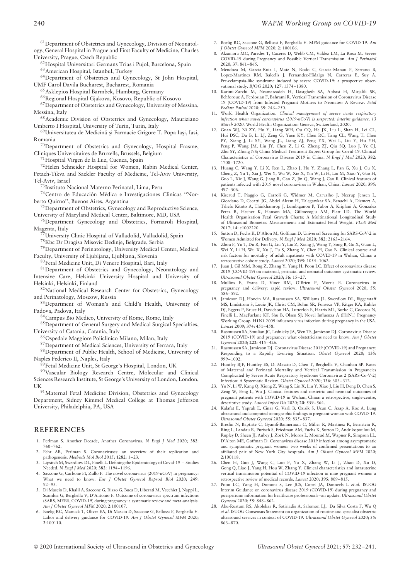61Department of Obstetrics and Gynecology, Division of Neonatology, General Hospital in Prague and First Faculty of Medicine, Charles University, Prague, Czech Republic

62Hospital Universitari Germans Trias i Pujol, Barcelona, Spain

63American Hospital, Istanbul, Turkey

64Department of Obstetrics and Gynecology, St John Hospital, UMF Carol Davila Bucharest, Bucharest, Romania

65Asklepios Hospital Barmbek, Hamburg, Germany

66Regional Hospital Gjakova, Kosovo, Republic of Kosovo

67Department of Obstetrics and Gynecology, University of Messina, Messina, Italy

68Academic Division of Obstetrics and Gynecology, Mauriziano Umberto I Hospital, University of Turin, Turin, Italy

69 Universitatea de Medicină și Farmacie Grigore T. Popa Iași, Iasi, Romania

70Department of Obstetrics and Gynecology, Hospital Erasme, Cliniques Universitaires de Bruxells, Brussels, Belgium

71Hospital Virgen de la Luz, Cuenca, Spain

72Helen Schneider Hospital for Women, Rabin Medical Center, Petach-Tikva and Sackler Faculty of Medicine, Tel-Aviv University, Tel-Aviv, Israel

73Instituto Nacional Materno Perinatal, Lima, Peru

74 Centro de Educación Médica e Investigaciones Clínicas "Norberto Quirno'', Buenos Aires, Argentina

75Department of Obstetrics, Gynecology and Reproductive Science, University of Maryland Medical Center, Baltimore, MD, USA

<sup>76</sup>Department Gynecology and Obstetrics, Fornaroli Hospital, Magenta, Italy

77University Clinic Hospital of Valladolid, Valladolid, Spain

78Kbc Dr Dragisa Misovic Dedinje, Belgrade, Serbia

79Department of Perinatology, University Medical Center, Medical Faculty, University of Ljubljana, Ljubljana, Slovenia

80Fetal Medicine Unit, Di Venere Hospital, Bari, Italy

81Department of Obstetrics and Gynecology, Neonatology and Intensive Care, Helsinki University Hospital and University of Helsinki, Helsinki, Finland

82National Medical Research Center for Obstetrics, Gynecology and Perinatology, Moscow, Russia

83 Department of Woman's and Child's Health, University of Padova, Padova, Italy

84Campus Bio Medico, University of Rome, Rome, Italy

85Department of General Surgery and Medical Surgical Specialties, University of Catania, Catania, Italy

86Ospedale Maggiore Policlinico Milano, Milan, Italy

87Department of Medical Sciences, University of Ferrara, Italy

88Department of Public Health, School of Medicine, University of Naples Federico II, Naples, Italy

89Fetal Medicine Unit, St George's Hospital, London, UK

90Vascular Biology Research Centre, Molecular and Clinical Sciences Research Institute, St George's University of London, London,

UK<br><sup>91</sup>Maternal Fetal Medicine Division, Obstetrics and Gynecology Department, Sidney Kimmel Medical College at Thomas Jefferson University, Philadelphia, PA, USA

#### **REFERENCES**

- 1. Perlman S. Another Decade, Another Coronavirus. *N Engl J Med* 2020; **382**: 760–762.
- 2. Fehr AR, Perlman S. Coronaviruses: an overview of their replication and pathogenesis. *Methods Mol Biol* 2015; **1282**: 1–23.
- 3. Lipsitch M, Swerdlow DL, Finelli L. Defining the Epidemiology of Covid-19 Studies Needed. *N Engl J Med* 2020; **382**: 1194–1196.
- Saccone G, Carbone FI, Zullo F. The novel coronavirus (2019-nCoV) in pregnancy What we need to know. *Eur J Obstet Gynecol Reprod Biol* 2020; **249**: 92–93.
- 5. Di Mascio D, Khalil A, Saccone G, Rizzo G, Buca D, Liberati M, Vecchiet J, Nappi L, Scambia G, Berghella V, D'Antonio F. Outcome of coronavirus spectrum infections (SARS, MERS, COVID-19) during pregnancy: a systematic review and meta-analysis. *Am J Obstet Gynecol MFM* 2020; **2**:100107.
- 6. Boelig RC, Manuck T, Oliver EA, Di Mascio D, Saccone G, Bellussi F, Berghella V. Labor and delivery guidance for COVID-19. *Am J Obstet Gynecol MFM* 2020; **2**:100110.
- 7. Boelig RC, Saccone G, Bellussi F, Berghella V. MFM guidance for COVID-19. *Am J Obstet Gynecol MFM* 2020; **2**: 100106.
- 8. Alzamora MC, Paredes T, Caceres D, Webb CM, Valdez LM, La Rosa M. Severe COVID-19 during Pregnancy and Possible Vertical Transmission. *Am J Perinatol* 2020; **37**: 861–865.
- 9. Mendoza M, Garcia-Ruiz I, Maiz N, Rodo C, Garcia-Manau P, Serrano B, Lopez-Martinez RM, Balcells J, Fernandez-Hidalgo N, Carreras E, Suy A. Pre-eclampsia-like syndrome induced by severe COVID-19: a prospective observational study. *BJOG* 2020; **127**: 1374–1380.
- 10. Karimi-Zarchi M, Neamatzadeh H, Dastgheib SA, Abbasi H, Mirjalili SR, Behforouz A, Ferdosian F, Bahrami R. Vertical Transmission of Coronavirus Disease 19 (COVID-19) from Infected Pregnant Mothers to Neonates: A Review. *Fetal Pediatr Pathol* 2020; **39**: 246–250.
- 11. World Health Organization. *Clinical management of severe acute respiratory infection when novel coronavirus (2019-nCoV) is suspected: interim guidance, 13 March 2020*. World Health Organization: Geneva, Switzerland, 2020.
- 12. Guan WJ, Ni ZY, Hu Y, Liang WH, Ou CQ, He JX, Liu L, Shan H, Lei CL, Hui DSC, Du B, Li LJ, Zeng G, Yuen KY, Chen RC, Tang CL, Wang T, Chen PY, Xiang J, Li SY, Wang JL, Liang ZJ, Peng YX, Wei L, Liu Y, Hu YH, Peng P, Wang JM, Liu JY, Chen Z, Li G, Zheng ZJ, Qiu SQ, Luo J, Ye CJ, Zhu SY, Zhong NS; China Medical Treatment Expert Group for Covid-19. Clinical Characteristics of Coronavirus Disease 2019 in China. *N Engl J Med* 2020; **382**: 1708–1720.
- 13. Huang C, Wang Y, Li X, Ren L, Zhao J, Hu Y, Zhang L, Fan G, Xu J, Gu X, Cheng Z, Yu T, Xia J, Wei Y, Wu W, Xie X, Yin W, Li H, Liu M, Xiao Y, Gao H, Guo L, Xie J, Wang G, Jiang R, Gao Z, Jin Q, Wang J, Cao B. Clinical features of patients infected with 2019 novel coronavirus in Wuhan, China. *Lancet* 2020; **395**: 497–506.
- 14. Kiserud T, Piaggio G, Carroli G, Widmer M, Carvalho J, Neerup Jensen L, Giordano D, Cecatti JG, Abdel Aleem H, Talegawkar SA, Benachi A, Diemert A, Tshefu Kitoto A, Thinkhamrop J, Lumbiganon P, Tabor A, Kriplani A, Gonzalez Perez R, Hecher K, Hanson MA, Gülmezoglu AM, Platt LD. The World Health Organization Fetal Growth Charts: A Multinational Longitudinal Study of Ultrasound Biometric Measurements and Estimated Fetal Weight. *PLoS Med* 2017; **14**: e1002220.
- 15. Sutton D, Fuchs K, D'Alton M, Goffman D. Universal Screening for SARS-CoV-2 in Women Admitted for Delivery. *N Engl J Med* 2020; **382**: 2163–2164.
- 16. Zhou F, Yu T, Du R, Fan G, Liu Y, Liu Z, Xiang J, Wang Y, Song B, Gu X, Guan L, Wei Y, Li H, Wu X, Xu J, Tu S, Zhang Y, Chen H, Cao B. Clinical course and risk factors for mortality of adult inpatients with COVID-19 in Wuhan, China: a retrospective cohort study. *Lancet* 2020; **395**: 1054–1062.
- 17. Juan J, Gil MM, Rong Z, Zhang Y, Yang H, Poon LC. Effect of coronavirus disease 2019 (COVID-19) on maternal, perinatal and neonatal outcome: systematic review. *Ultrasound Obstet Gynecol* 2020; **56**: 15–27.
- 18. Mullins E, Evans D, Viner RM, O'Brien P, Morris E. Coronavirus in pregnancy and delivery: rapid review. *Ultrasound Obstet Gynecol* 2020; **55**: 586–592.
- 19. Jamieson DJ, Honein MA, Rasmussen SA, Williams JL, Swerdlow DL, Biggerstaff MS, Lindstrom S, Louie JK, Christ CM, Bohm SR, Fonseca VP, Ritger KA, Kuhles DJ, Eggers P, Bruce H, Davidson HA, Lutterloh E, Harris ML, Burke C, Cocoros N, Finelli L, MacFarlane KF, Shu B, Olsen SJ; Novel Influenza A (H1N1) Pregnancy Working Group. H1N1 2009 influenza virus infection during pregnancy in the USA. *Lancet* 2009; **374**: 451–458.
- 20. Rasmussen SA, Smulian JC, Lednicky JA, Wen TS, Jamieson DJ. Coronavirus Disease 2019 (COVID-19) and pregnancy: what obstetricians need to know. *Am J Obstet Gynecol* 2020; **222**: 415–426.
- 21. Rasmussen SA, Jamieson DJ. Coronavirus Disease 2019 (COVID-19) and Pregnancy: Responding to a Rapidly Evolving Situation. *Obstet Gynecol* 2020; **135**:  $999 - 1002$
- 22. Huntley BJF, Huntley ES, Di Mascio D, Chen T, Berghella V, Chauhan SP. Rates of Maternal and Perinatal Mortality and Vertical Transmission in Pregnancies Complicated by Severe Acute Respiratory Syndrome Coronavirus 2 (SARS-Co-V-2) Infection: A Systematic Review. *Obstet Gynecol* 2020; **136**: 303–312.
- 23. Yu N, Li W, Kang Q, Xiong Z, Wang S, Lin X, Liu Y, Xiao J, Liu H, Deng D, Chen S, Zeng W, Feng L, Wu J. Clinical features and obstetric and neonatal outcomes of pregnant patients with COVID-19 in Wuhan, China: a retrospective, single-centre, descriptive study. *Lancet Infect Dis* 2020; **20**: 559–564.
- 24. Kalafat E, Yaprak E, Cinar G, Varli B, Ozisik S, Uzun C, Azap A, Koc A. Lung ultrasound and computed tomographic findings in pregnant woman with COVID-19. *Ultrasound Obstet Gynecol* 2020; **55**: 835–837.
- 25. Breslin N, Baptiste C, Gyamfi-Bannerman C, Miller R, Martinez R, Bernstein K, Ring L, Landau R, Purisch S, Friedman AM, Fuchs K, Sutton D, Andrikopoulou M, Rupley D, Sheen JJ, Aubey J, Zork N, Moroz L, Mourad M, Wapner R, Simpson LL, D'Alton ME, Goffman D. Coronavirus disease 2019 infection among asymptomatic and symptomatic pregnant women: two weeks of confirmed presentations to an affiliated pair of New York City hospitals. *Am J Obstet Gynecol MFM* 2020; **2**:100118.
- 26. Chen H, Guo J, Wang C, Luo F, Yu X, Zhang W, Li J, Zhao D, Xu D, Gong Q, Liao J, Yang H, Hou W, Zhang Y. Clinical characteristics and intrauterine vertical transmission potential of COVID-19 infection in nine pregnant women: a retrospective review of medical records. *Lancet* 2020; **395**: 809–815.
- 27. Poon LC, Yang H, Dumont S, Lee JCS, Copel JA, Danneels L *et al.* ISUOG Interim Guidance on coronavirus disease 2019 (COVID-19) during pregnancy and puerperium: information for healthcare professionals–an update. *Ultrasound Obstet Gynecol* 2020; **55**: 848–862.
- 28. Abu-Rustum RS, Akolekar R, Sotiriadis A, Salomon LJ, Da Silva Costa F, Wu Q *et al.* ISUOG Consensus Statement on organization of routine and specialist obstetric ultrasound services in context of COVID-19. *Ultrasound Obstet Gynecol* 2020; **55**: 863–870.